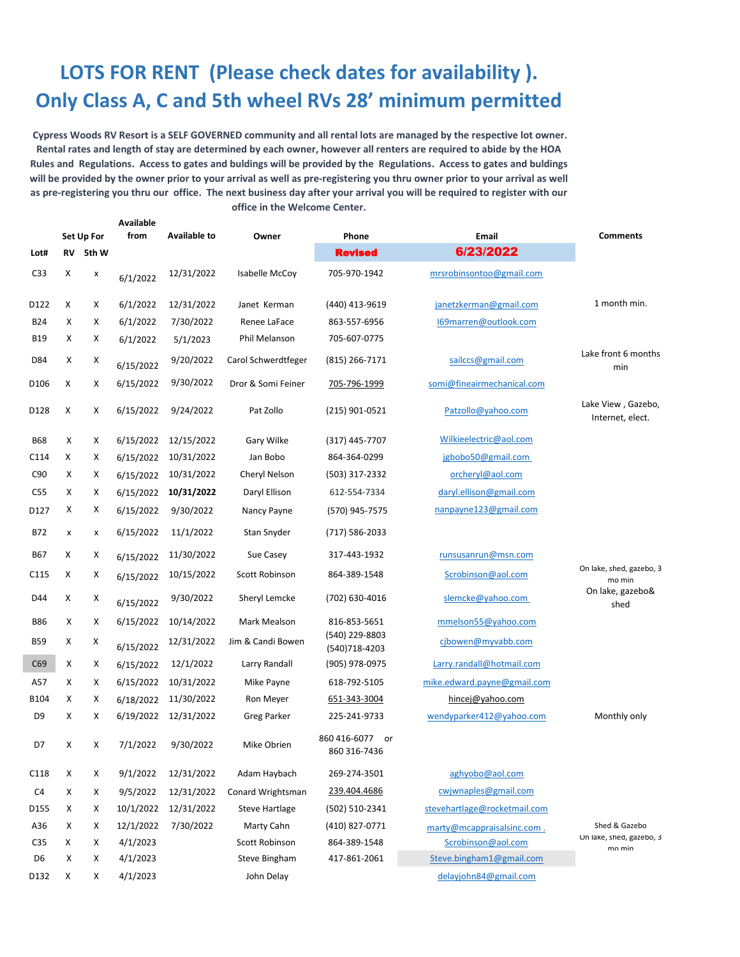## **LOTS FOR RENT (Please check dates for availability ). Only Class A, C and 5th wheel RVs 28' minimum permitted**

 **Cypress Woods RV Resort is a SELF GOVERNED community and all rental lots are managed by the respective lot owner. Rental rates and length of stay are determined by each owner, however all renters are required to abide by the HOA Rules and Regulations. Access to gates and buldings will be provided by the Regulations. Access to gates and buldings will be provided by the owner prior to your arrival as well as pre-registering you thru owner prior to your arrival as well as pre-registering you thru our office. The next business day after your arrival you will be required to register with our office in the Welcome Center.**

|                  |            |       | <b>Available</b> |                     |                       |                                    |                              |                                        |
|------------------|------------|-------|------------------|---------------------|-----------------------|------------------------------------|------------------------------|----------------------------------------|
|                  | Set Up For |       | from             | <b>Available to</b> | Owner                 | Phone                              | <b>Email</b>                 | <b>Comments</b>                        |
| Lot#             | RV         | 5th W |                  |                     |                       | <b>Revised</b>                     | 6/23/2022                    |                                        |
| C <sub>33</sub>  | х          | x     | 6/1/2022         | 12/31/2022          | Isabelle McCoy        | 705-970-1942                       | mrsrobinsontoo@gmail.com     |                                        |
| D122             | х          | х     | 6/1/2022         | 12/31/2022          | Janet Kerman          | (440) 413-9619                     | janetzkerman@gmail.com       | 1 month min.                           |
| <b>B24</b>       | х          | х     | 6/1/2022         | 7/30/2022           | Renee LaFace          | 863-557-6956                       | 169marren@outlook.com        |                                        |
| <b>B19</b>       | х          | х     | 6/1/2022         | 5/1/2023            | Phil Melanson         | 705-607-0775                       |                              |                                        |
| D84              | х          | х     | 6/15/2022        | 9/20/2022           | Carol Schwerdtfeger   | $(815)$ 266-7171                   | sailccs@gmail.com            | Lake front 6 months<br>min             |
| D <sub>106</sub> | х          | X     | 6/15/2022        | 9/30/2022           | Dror & Somi Feiner    | 705-796-1999                       | somi@fineairmechanical.com   |                                        |
| D128             | х          | х     | 6/15/2022        | 9/24/2022           | Pat Zollo             | $(215)$ 901-0521                   | Patzollo@yahoo.com           | Lake View, Gazebo,<br>Internet, elect. |
| <b>B68</b>       | X          | X     | 6/15/2022        | 12/15/2022          | Gary Wilke            | (317) 445-7707                     | Wilkieelectric@aol.com       |                                        |
| C114             | х          | Х     | 6/15/2022        | 10/31/2022          | Jan Bobo              | 864-364-0299                       | jgbobo50@gmail.com           |                                        |
| C90              | x          | х     | 6/15/2022        | 10/31/2022          | Cheryl Nelson         | (503) 317-2332                     | orcheryl@aol.com             |                                        |
| C <sub>55</sub>  | x          | Х     | 6/15/2022        | 10/31/2022          | Daryl Ellison         | 612-554-7334                       | daryl.ellison@gmail.com      |                                        |
| D127             | х          | х     | 6/15/2022        | 9/30/2022           | Nancy Payne           | (570) 945-7575                     | nanpayne123@gmail.com        |                                        |
| B72              | x          | x     | 6/15/2022        | 11/1/2022           | Stan Snyder           | (717) 586-2033                     |                              |                                        |
| <b>B67</b>       | Χ          | х     | 6/15/2022        | 11/30/2022          | Sue Casey             | 317-443-1932                       | runsusanrun@msn.com          |                                        |
| C <sub>115</sub> | Х          | х     | 6/15/2022        | 10/15/2022          | Scott Robinson        | 864-389-1548                       | Scrobinson@aol.com           | On lake, shed, gazebo, 3<br>mo min     |
| D44              | Х          | х     | 6/15/2022        | 9/30/2022           | Sheryl Lemcke         | (702) 630-4016                     | slemcke@yahoo.com            | On lake, gazebo&<br>shed               |
| <b>B86</b>       | х          | Χ     | 6/15/2022        | 10/14/2022          | Mark Mealson          | 816-853-5651                       | mmelson55@yahoo.com          |                                        |
| <b>B59</b>       | х          | х     | 6/15/2022        | 12/31/2022          | Jim & Candi Bowen     | (540) 229-8803<br>(540)718-4203    | cjbowen@myvabb.com           |                                        |
| C69              | x          | х     | 6/15/2022        | 12/1/2022           | Larry Randall         | (905) 978-0975                     | Larry.randall@hotmail.com    |                                        |
| A57              | x          | х     | 6/15/2022        | 10/31/2022          | Mike Payne            | 618-792-5105                       | mike.edward.payne@gmail.com  |                                        |
| B104             | х          | х     | 6/18/2022        | 11/30/2022          | Ron Meyer             | 651-343-3004                       | hincej@yahoo.com             |                                        |
| D <sub>9</sub>   | х          | х     | 6/19/2022        | 12/31/2022          | <b>Greg Parker</b>    | 225-241-9733                       | wendyparker412@yahoo.com     | Monthly only                           |
| D7               | х          | X     | 7/1/2022         | 9/30/2022           | Mike Obrien           | 860 416-6077<br>or<br>860 316-7436 |                              |                                        |
| C118             | х          | х     | 9/1/2022         | 12/31/2022          | Adam Haybach          | 269-274-3501                       | aghyobo@aol.com              |                                        |
| C <sub>4</sub>   | х          | х     | 9/5/2022         | 12/31/2022          | Conard Wrightsman     | 239.404.4686                       | cwjwnaples@gmail.com         |                                        |
| D155             | X          | х     | 10/1/2022        | 12/31/2022          | <b>Steve Hartlage</b> | (502) 510-2341                     | stevehartlage@rocketmail.com |                                        |
| A36              | х          | х     | 12/1/2022        | 7/30/2022           | Marty Cahn            | (410) 827-0771                     | marty@mcappraisalsinc.com.   | Shed & Gazebo                          |
| C35              | Х          | х     | 4/1/2023         |                     | <b>Scott Robinson</b> | 864-389-1548                       | Scrobinson@aol.com           | On lake, shed, gazebo, 3<br>mo min     |
| D6               | x          | х     | 4/1/2023         |                     | Steve Bingham         | 417-861-2061                       | Steve.bingham1@gmail.com     |                                        |
| D132             | Х          | х     | 4/1/2023         |                     | John Delay            |                                    | delayjohn84@gmail.com        |                                        |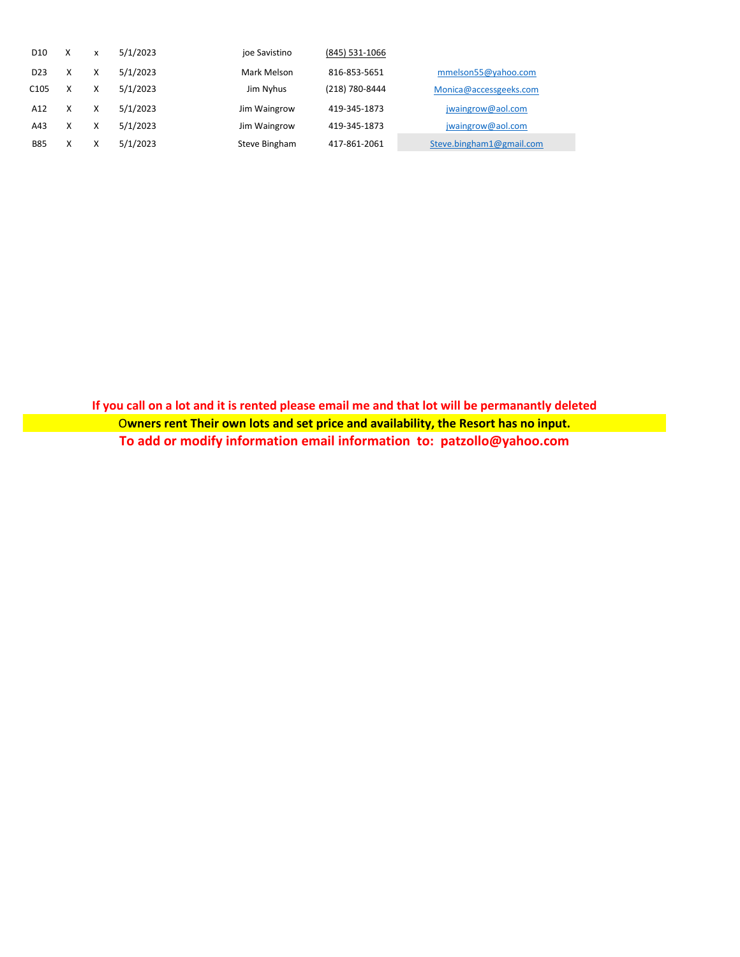| D <sub>10</sub>  | x | x | 5/1/2023 | joe Savistino | (845) 531-1066 |                          |
|------------------|---|---|----------|---------------|----------------|--------------------------|
| D <sub>23</sub>  |   | X | 5/1/2023 | Mark Melson   | 816-853-5651   | mmelson55@yahoo.com      |
| C <sub>105</sub> | x | Χ | 5/1/2023 | Jim Nyhus     | (218) 780-8444 | Monica@accessgeeks.com   |
| A12              |   | X | 5/1/2023 | Jim Waingrow  | 419-345-1873   | jwaingrow@aol.com        |
| A43              | x | Χ | 5/1/2023 | Jim Waingrow  | 419-345-1873   | jwaingrow@aol.com        |
| <b>B85</b>       | v | ⋏ | 5/1/2023 | Steve Bingham | 417-861-2061   | Steve.bingham1@gmail.com |

**If you call on a lot and it is rented please email me and that lot will be permanantly deleted** O**wners rent Their own lots and set price and availability, the Resort has no input. To add or modify information email information to: patzollo@yahoo.com**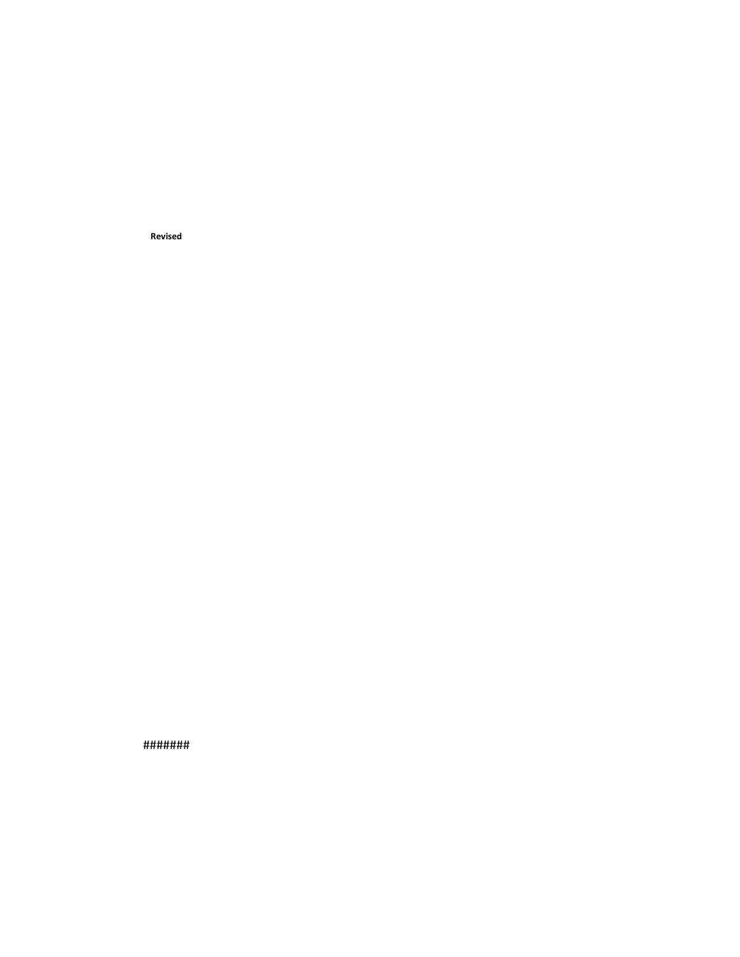**Revised**

#######